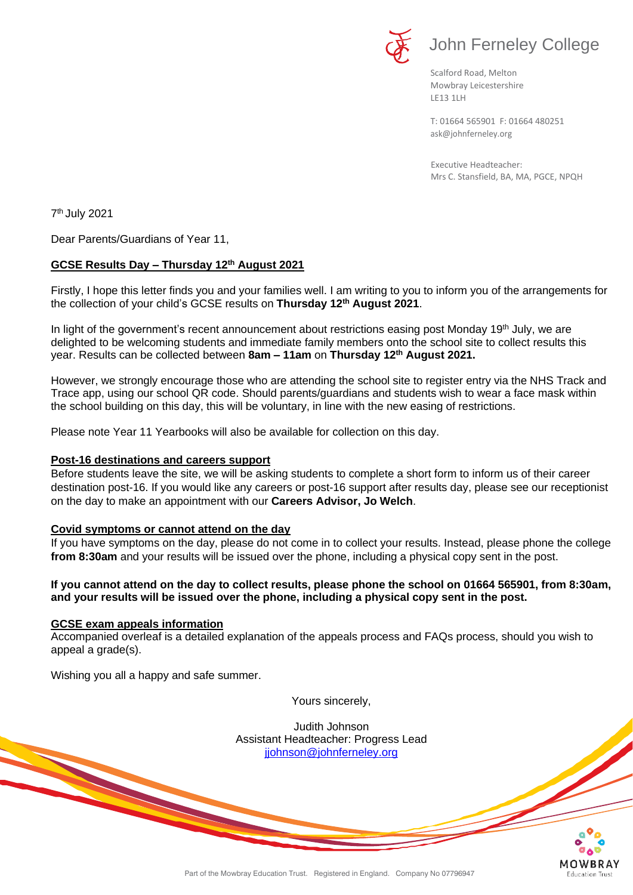

Scalford Road, Melton Mowbray Leicestershire LE13 1LH

[ask@johnferneley.org](mailto:ask@johnferneley.org) T: 01664 565901 F: 01664 480251

 Executive Headteacher: Mrs C. Stansfield, BA, MA, PGCE, NPQH

7 th July 2021

Dear Parents/Guardians of Year 11,

# **GCSE Results Day – Thursday 12th August 2021**

Firstly, I hope this letter finds you and your families well. I am writing to you to inform you of the arrangements for the collection of your child's GCSE results on **Thursday 12th August 2021**.

In light of the government's recent announcement about restrictions easing post Monday 19<sup>th</sup> July, we are delighted to be welcoming students and immediate family members onto the school site to collect results this year. Results can be collected between **8am – 11am** on **Thursday 12th August 2021.**

However, we strongly encourage those who are attending the school site to register entry via the NHS Track and Trace app, using our school QR code. Should parents/guardians and students wish to wear a face mask within the school building on this day, this will be voluntary, in line with the new easing of restrictions.

Please note Year 11 Yearbooks will also be available for collection on this day.

### **Post-16 destinations and careers support**

Before students leave the site, we will be asking students to complete a short form to inform us of their career destination post-16. If you would like any careers or post-16 support after results day, please see our receptionist on the day to make an appointment with our **Careers Advisor, Jo Welch**.

#### **Covid symptoms or cannot attend on the day**

If you have symptoms on the day, please do not come in to collect your results. Instead, please phone the college **from 8:30am** and your results will be issued over the phone, including a physical copy sent in the post.

#### **If you cannot attend on the day to collect results, please phone the school on 01664 565901, from 8:30am, and your results will be issued over the phone, including a physical copy sent in the post.**

#### **GCSE exam appeals information**

Accompanied overleaf is a detailed explanation of the appeals process and FAQs process, should you wish to appeal a grade(s).

Wishing you all a happy and safe summer.

Yours sincerely,

Judith Johnson Assistant Headteacher: Progress Lead [jjohnson@johnferneley.org](mailto:jjohnson@johnferneley.org)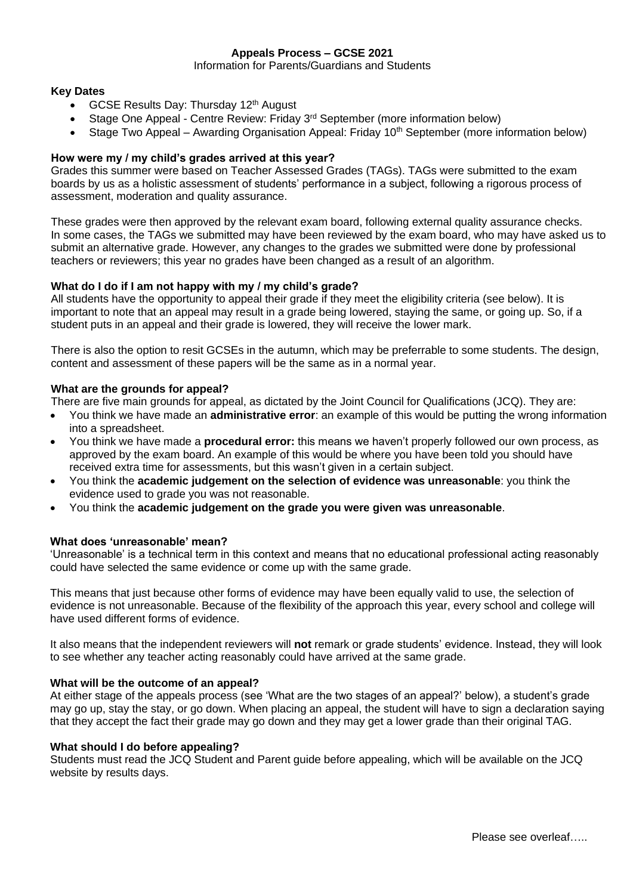# **Appeals Process – GCSE 2021**

Information for Parents/Guardians and Students

### **Key Dates**

- GCSE Results Day: Thursday 12<sup>th</sup> August
- Stage One Appeal Centre Review: Friday  $3<sup>rd</sup>$  September (more information below)
- Stage Two Appeal Awarding Organisation Appeal: Friday 10<sup>th</sup> September (more information below)

# **How were my / my child's grades arrived at this year?**

Grades this summer were based on Teacher Assessed Grades (TAGs). TAGs were submitted to the exam boards by us as a holistic assessment of students' performance in a subject, following a rigorous process of assessment, moderation and quality assurance.

These grades were then approved by the relevant exam board, following external quality assurance checks. In some cases, the TAGs we submitted may have been reviewed by the exam board, who may have asked us to submit an alternative grade. However, any changes to the grades we submitted were done by professional teachers or reviewers; this year no grades have been changed as a result of an algorithm.

# **What do I do if I am not happy with my / my child's grade?**

All students have the opportunity to appeal their grade if they meet the eligibility criteria (see below). It is important to note that an appeal may result in a grade being lowered, staying the same, or going up. So, if a student puts in an appeal and their grade is lowered, they will receive the lower mark.

There is also the option to resit GCSEs in the autumn, which may be preferrable to some students. The design, content and assessment of these papers will be the same as in a normal year.

# **What are the grounds for appeal?**

There are five main grounds for appeal, as dictated by the Joint Council for Qualifications (JCQ). They are:

- You think we have made an **administrative error**: an example of this would be putting the wrong information into a spreadsheet.
- You think we have made a **procedural error:** this means we haven't properly followed our own process, as approved by the exam board. An example of this would be where you have been told you should have received extra time for assessments, but this wasn't given in a certain subject.
- You think the **academic judgement on the selection of evidence was unreasonable**: you think the evidence used to grade you was not reasonable.
- You think the **academic judgement on the grade you were given was unreasonable**.

# **What does 'unreasonable' mean?**

'Unreasonable' is a technical term in this context and means that no educational professional acting reasonably could have selected the same evidence or come up with the same grade.

This means that just because other forms of evidence may have been equally valid to use, the selection of evidence is not unreasonable. Because of the flexibility of the approach this year, every school and college will have used different forms of evidence.

It also means that the independent reviewers will **not** remark or grade students' evidence. Instead, they will look to see whether any teacher acting reasonably could have arrived at the same grade.

# **What will be the outcome of an appeal?**

At either stage of the appeals process (see 'What are the two stages of an appeal?' below), a student's grade may go up, stay the stay, or go down. When placing an appeal, the student will have to sign a declaration saying that they accept the fact their grade may go down and they may get a lower grade than their original TAG.

#### **What should I do before appealing?**

Students must read the JCQ Student and Parent guide before appealing, which will be available on the JCQ website by results days.